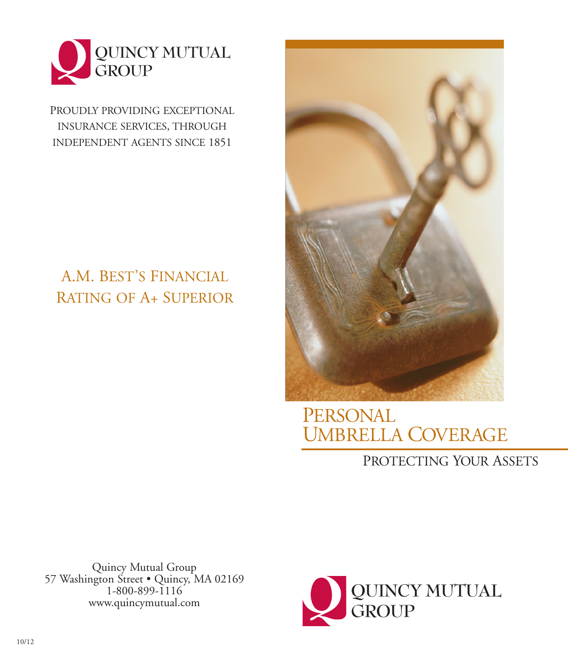

PROUDLY PROVIDING EXCEPTIONAL INSURANCE SERVICES, THROUGH INDEPENDENT AGENTS SINCE 1851

# A.M. BEST'S FINANCIAL RATING OF A+ SUPERIOR



PERSONAL UMBRELLA COVERAGE

## PROTECTING YOUR ASSETS

Quincy Mutual Group 57 Washington Street • Quincy, MA 02169 1-800-899-1116 www.quincymutual.com